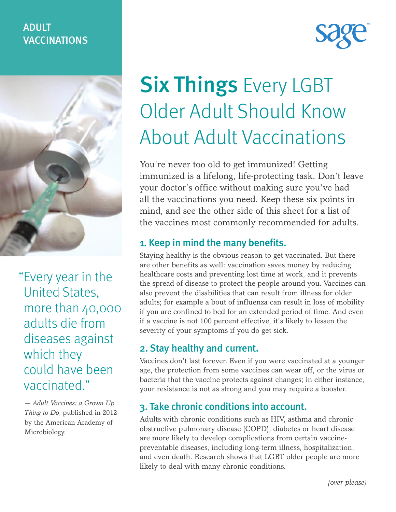# ADULT VACCINATIONS



"Every year in the United States, more than 40,000 adults die from diseases against which they could have been vaccinated."

— *Adult Vaccines: a Grown Up Thing to Do*, published in 2012 by the American Academy of Microbiology.

# **Six Things Every LGBT** Older Adult Should Know About Adult Vaccinations

You're never too old to get immunized! Getting immunized is a lifelong, life-protecting task. Don't leave your doctor's office without making sure you've had all the vaccinations you need. Keep these six points in mind, and see the other side of this sheet for a list of the vaccines most commonly recommended for adults.

#### 1. Keep in mind the many benefits.

Staying healthy is the obvious reason to get vaccinated. But there are other benefits as well: vaccination saves money by reducing healthcare costs and preventing lost time at work, and it prevents the spread of disease to protect the people around you. Vaccines can also prevent the disabilities that can result from illness for older adults; for example a bout of influenza can result in loss of mobility if you are confined to bed for an extended period of time. And even if a vaccine is not 100 percent effective, it's likely to lessen the severity of your symptoms if you do get sick.

#### 2. Stay healthy and current.

Vaccines don't last forever. Even if you were vaccinated at a younger age, the protection from some vaccines can wear off, or the virus or bacteria that the vaccine protects against changes; in either instance, your resistance is not as strong and you may require a booster.

## 3. Take chronic conditions into account.

Adults with chronic conditions such as HIV, asthma and chronic obstructive pulmonary disease (COPD), diabetes or heart disease are more likely to develop complications from certain vaccinepreventable diseases, including long-term illness, hospitalization, and even death. Research shows that LGBT older people are more likely to deal with many chronic conditions.